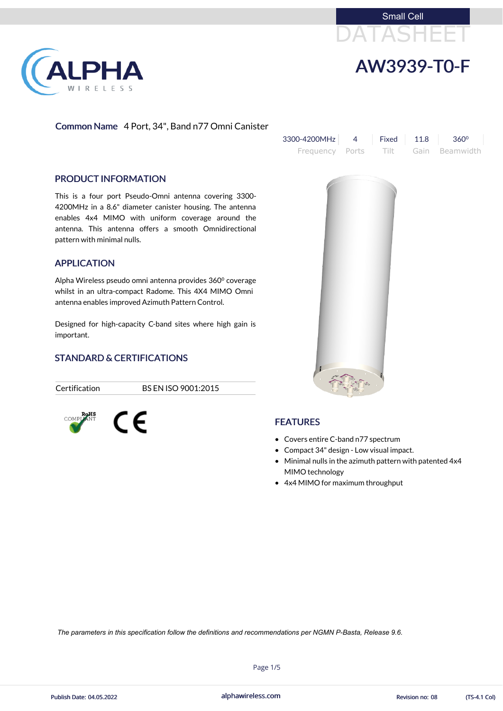





## Common Name 4 Port, 34", Band n77 Omni Canister

| $3300 - 4200$ MHz 4 Fixed 11.8 360 <sup>o</sup> |  |                                     |  |
|-------------------------------------------------|--|-------------------------------------|--|
|                                                 |  | Frequency Ports Tilt Gain Beamwidth |  |



#### PRODUCT INFORMATION

This is a four port Pseudo-Omni antenna covering 3300- 4200MHz in a 8.6" diameter canister housing. The antenna enables 4x4 MIMO with uniform coverage around the antenna. This antenna offers a smooth Omnidirectional pattern with minimal nulls.

Alpha Wireless pseudo omni antenna provides 360<sup>°</sup> coverage whilst in an ultra-compact Radome. This 4X4 MIMO Omni antenna enables improved Azimuth Pattern Control.

### APPLICATION

Designed for high-capacity C-band sites where high gain is important.

### STANDARD & CERTIFICATIONS

 $\epsilon$ 

Certification BS EN ISO 9001:2015



# FEATURES

- Covers entire C-band n77 spectrum
- Compact 34" design Low visual impact.
- Minimal nulls in the azimuth pattern with patented 4x4 MIMO technology
- 4x4 MIMO for maximum throughput

alphawireless.com

Page 1/5



*The parameters in this specification follow the definitions and recommendations per NGMN P-Basta, Release 9.6.*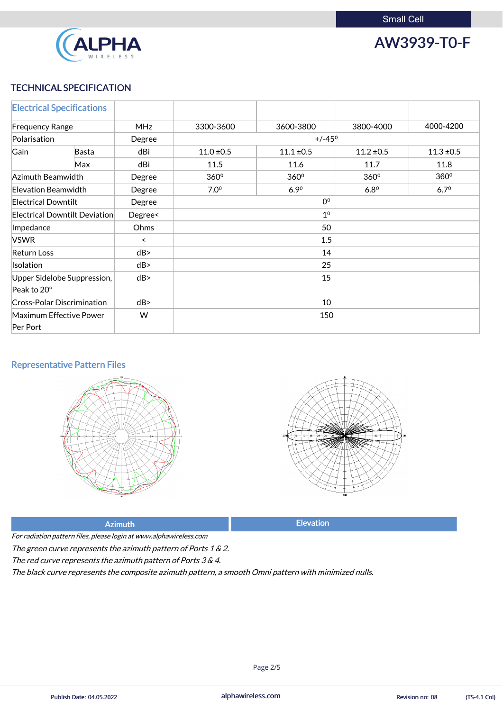

AW3939-T0-F

## TECHNICAL SPECIFICATION

|                            | <b>Electrical Specifications</b>  |            |                 |                  |                |                |
|----------------------------|-----------------------------------|------------|-----------------|------------------|----------------|----------------|
| <b>Frequency Range</b>     |                                   | <b>MHz</b> | 3300-3600       | 3600-3800        | 3800-4000      | 4000-4200      |
| Polarisation               |                                   | Degree     | $+/-45^{\circ}$ |                  |                |                |
| Gain                       | Basta                             | dBi        | $11.0 \pm 0.5$  | $11.1 \pm 0.5$   | $11.2 \pm 0.5$ | $11.3 \pm 0.5$ |
|                            | Max                               | dBi        | 11.5            | 11.6             | 11.7           | 11.8           |
| Azimuth Beamwidth          |                                   | Degree     | 360°            | 360 <sup>°</sup> | 360°           | $360^\circ$    |
| Elevation Beamwidth        |                                   | Degree     | $7.0^\circ$     | 6.90             | $6.8^\circ$    | $6.7^{\circ}$  |
| <b>Electrical Downtilt</b> |                                   | Degree     | 0 <sup>0</sup>  |                  |                |                |
|                            | Electrical Downtilt Deviation     | Degree<    | 1 <sup>0</sup>  |                  |                |                |
| Impedance                  |                                   | Ohms       | 50              |                  |                |                |
| <b>VSWR</b>                |                                   | $\prec$    | 1.5             |                  |                |                |
| <b>Return Loss</b>         |                                   | dB         | 14              |                  |                |                |
| Isolation                  |                                   | dB         | 25              |                  |                |                |
|                            | Upper Sidelobe Suppression,       | dB         |                 | 15               |                |                |
| Peak to 20°                |                                   |            |                 |                  |                |                |
|                            | <b>Cross-Polar Discrimination</b> | dB         | 10              |                  |                |                |
|                            | Maximum Effective Power           | W          | 150             |                  |                |                |
| Per Port                   |                                   |            |                 |                  |                |                |

# Representative Pattern Files





For radiation pattern files, please login at www.alphawireless.com

### Azimuth **Elevation**

### The green curve represents the azimuth pattern of Ports 1 & 2.

The red curve represents the azimuth pattern of Ports 3 & 4.

The black curve represents the composite azimuth pattern, <sup>a</sup> smooth Omni pattern with minimized nulls.

alphawireless.com

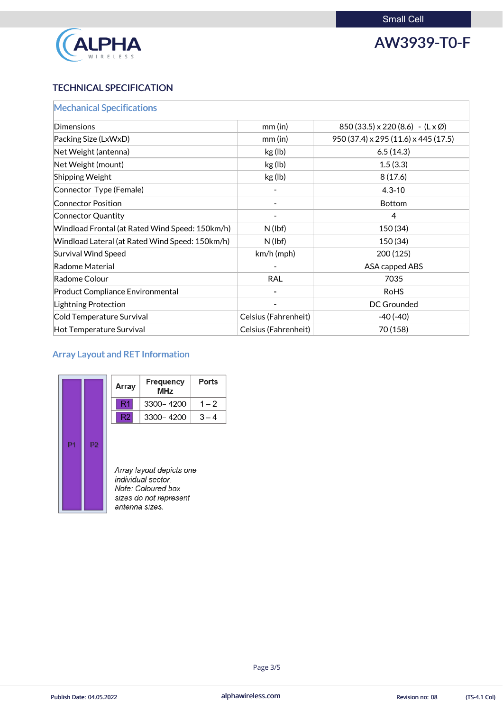

# AW3939-T0-F

# TECHNICAL SPECIFICATION

| <b>Mechanical Specifications</b>                |                      |                                                    |
|-------------------------------------------------|----------------------|----------------------------------------------------|
| Dimensions                                      | $mm$ (in)            | $850(33.5) \times 220(8.6) - (L \times \emptyset)$ |
| Packing Size (LxWxD)                            | $mm$ (in)            | 950 (37.4) x 295 (11.6) x 445 (17.5)               |
| Net Weight (antenna)                            | kg (lb)              | 6.5(14.3)                                          |
| Net Weight (mount)                              | kg (lb)              | 1.5(3.3)                                           |
| Shipping Weight                                 | kg (lb)              | 8(17.6)                                            |
| Connector Type (Female)                         |                      | $4.3 - 10$                                         |
| <b>Connector Position</b>                       |                      | <b>Bottom</b>                                      |
| Connector Quantity                              |                      | $\overline{4}$                                     |
| Windload Frontal (at Rated Wind Speed: 150km/h) | $N$ (lbf)            | 150 (34)                                           |
| Windload Lateral (at Rated Wind Speed: 150km/h) | $N$ (lbf)            | 150 (34)                                           |
| <b>Survival Wind Speed</b>                      | $km/h$ (mph)         | 200 (125)                                          |
| Radome Material                                 |                      | <b>ASA capped ABS</b>                              |
| Radome Colour                                   | <b>RAL</b>           | 7035                                               |
| <b>Product Compliance Environmental</b>         |                      | <b>RoHS</b>                                        |
| Lightning Protection                            |                      | <b>DC Grounded</b>                                 |
| Cold Temperature Survival                       | Celsius (Fahrenheit) | $-40(-40)$                                         |
| Hot Temperature Survival                        | Celsius (Fahrenheit) | 70 (158)                                           |

Ports

 $1 - 2$ 

 $3-4$ 

# Array Layout and RET Information

|    | Array          | <b>Frequency</b><br>MHz                                                                       |  |
|----|----------------|-----------------------------------------------------------------------------------------------|--|
|    | R1             | 3300-4200                                                                                     |  |
|    | R2             | 3300-4200                                                                                     |  |
| P2 | antenna sizes. | Array layout depicts one<br>individual sector<br>Note: Coloured box<br>sizes do not represent |  |

alphawireless.com

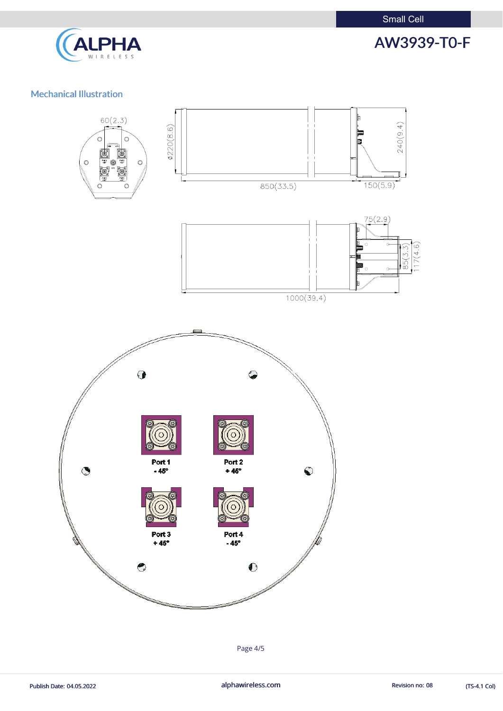Small Cell



AW3939-T0-F

# Mechanical Illustration



Page 4/5

Publish Date: 04.05.2022 **alphawireless.com** alphawireless.com Revision no: 08 (TS-4.1 Col)